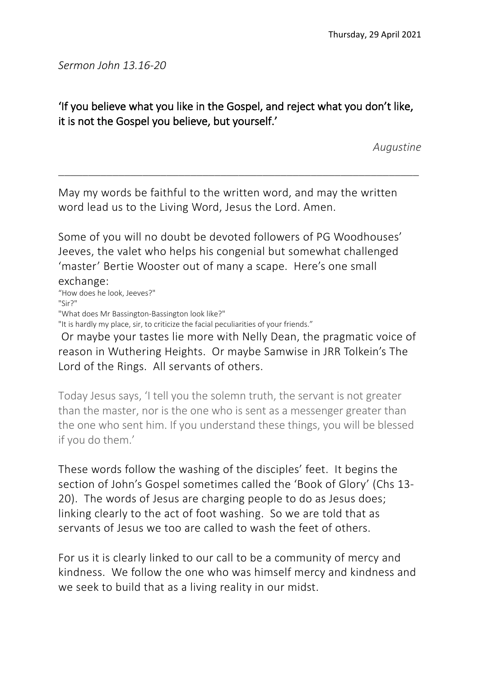*Sermon John 13.16-20*

## 'If you believe what you like in the Gospel, and reject what you don't like, it is not the Gospel you believe, but yourself.'

 $\_$  , and the set of the set of the set of the set of the set of the set of the set of the set of the set of the set of the set of the set of the set of the set of the set of the set of the set of the set of the set of th

*Augustine*

May my words be faithful to the written word, and may the written word lead us to the Living Word, Jesus the Lord. Amen.

Some of you will no doubt be devoted followers of PG Woodhouses' Jeeves, the valet who helps his congenial but somewhat challenged 'master' Bertie Wooster out of many a scape. Here's one small

exchange:

"How does he look, Jeeves?" "Sir?" "What does Mr Bassington-Bassington look like?" "It is hardly my place, sir, to criticize the facial peculiarities of your friends."

Or maybe your tastes lie more with Nelly Dean, the pragmatic voice of reason in Wuthering Heights. Or maybe Samwise in JRR Tolkein's The Lord of the Rings. All servants of others.

Today Jesus says, 'I tell you the solemn truth, the servant is not greater than the master, nor is the one who is sent as a messenger greater than the one who sent him. If you understand these things, you will be blessed if you do them.'

These words follow the washing of the disciples' feet. It begins the section of John's Gospel sometimes called the 'Book of Glory' (Chs 13- 20). The words of Jesus are charging people to do as Jesus does; linking clearly to the act of foot washing. So we are told that as servants of Jesus we too are called to wash the feet of others.

For us it is clearly linked to our call to be a community of mercy and kindness. We follow the one who was himself mercy and kindness and we seek to build that as a living reality in our midst.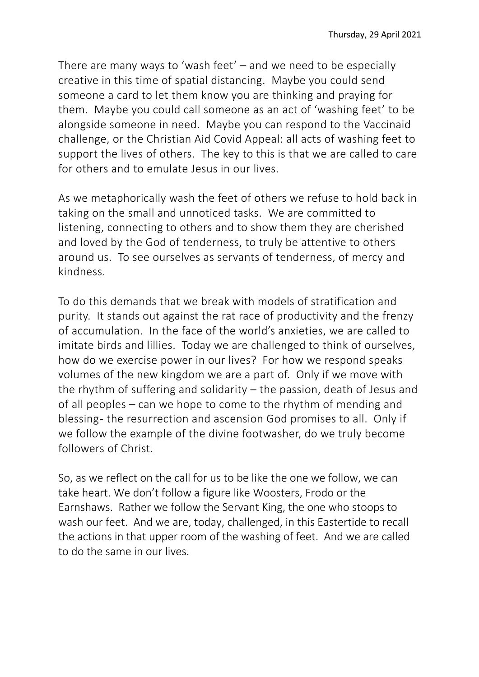There are many ways to 'wash feet' – and we need to be especially creative in this time of spatial distancing. Maybe you could send someone a card to let them know you are thinking and praying for them. Maybe you could call someone as an act of 'washing feet' to be alongside someone in need. Maybe you can respond to the Vaccinaid challenge, or the Christian Aid Covid Appeal: all acts of washing feet to support the lives of others. The key to this is that we are called to care for others and to emulate Jesus in our lives.

As we metaphorically wash the feet of others we refuse to hold back in taking on the small and unnoticed tasks. We are committed to listening, connecting to others and to show them they are cherished and loved by the God of tenderness, to truly be attentive to others around us. To see ourselves as servants of tenderness, of mercy and kindness.

To do this demands that we break with models of stratification and purity. It stands out against the rat race of productivity and the frenzy of accumulation. In the face of the world's anxieties, we are called to imitate birds and lillies. Today we are challenged to think of ourselves, how do we exercise power in our lives? For how we respond speaks volumes of the new kingdom we are a part of. Only if we move with the rhythm of suffering and solidarity – the passion, death of Jesus and of all peoples – can we hope to come to the rhythm of mending and blessing - the resurrection and ascension God promises to all. Only if we follow the example of the divine footwasher, do we truly become followers of Christ.

So, as we reflect on the call for us to be like the one we follow, we can take heart. We don't follow a figure like Woosters, Frodo or the Earnshaws. Rather we follow the Servant King, the one who stoops to wash our feet. And we are, today, challenged, in this Eastertide to recall the actions in that upper room of the washing of feet. And we are called to do the same in our lives.